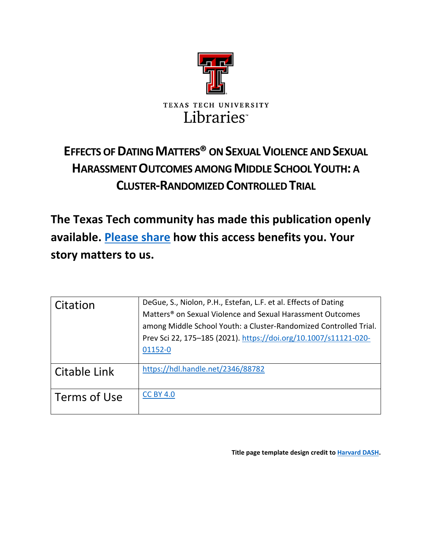

# **EFFECTS OF DATING MATTERS®ON SEXUAL VIOLENCE AND SEXUAL HARASSMENT OUTCOMES AMONG MIDDLE SCHOOL YOUTH: A CLUSTER-RANDOMIZED CONTROLLED TRIAL**

**The Texas Tech community has made this publication openly available. [Please share](https://ttu.libwizard.com/f/thinktechfeedback) how this access benefits you. Your story matters to us.**

| Citation     | DeGue, S., Niolon, P.H., Estefan, L.F. et al. Effects of Dating<br>Matters <sup>®</sup> on Sexual Violence and Sexual Harassment Outcomes |
|--------------|-------------------------------------------------------------------------------------------------------------------------------------------|
|              | among Middle School Youth: a Cluster-Randomized Controlled Trial.                                                                         |
|              | Prev Sci 22, 175-185 (2021). https://doi.org/10.1007/s11121-020-                                                                          |
|              | 01152-0                                                                                                                                   |
| Citable Link | https://hdl.handle.net/2346/88782                                                                                                         |
| Terms of Use | <b>CC BY 4.0</b>                                                                                                                          |

**Title page template design credit t[o Harvard DASH.](https://dash.harvard.edu/)**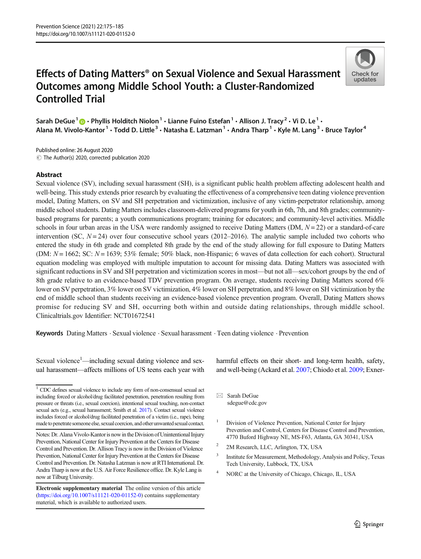# Effects of Dating Matters® on Sexual Violence and Sexual Harassment Outcomes among Middle School Youth: a Cluster-Randomized Controlled Trial



Sarah DeGue<sup>1</sup> **D** • Phyllis Holditch Niolon<sup>1</sup> • Lianne Fuino Estefan<sup>1</sup> • Allison J. Tracy<sup>2</sup> • Vi D. Le<sup>1</sup> • Alana M. Vivolo-Kantor<sup>1</sup> • Todd D. Little<sup>3</sup> • Natasha E. Latzman<sup>1</sup> • Andra Tharp<sup>1</sup> • Kyle M. Lang<sup>3</sup> • Bruce Taylor<sup>4</sup>

 $\odot$  The Author(s) 2020, corrected publication 2020 Published online: 26 August 2020

### Abstract

Sexual violence (SV), including sexual harassment (SH), is a significant public health problem affecting adolescent health and well-being. This study extends prior research by evaluating the effectiveness of a comprehensive teen dating violence prevention model, Dating Matters, on SV and SH perpetration and victimization, inclusive of any victim-perpetrator relationship, among middle school students. Dating Matters includes classroom-delivered programs for youth in 6th, 7th, and 8th grades; communitybased programs for parents; a youth communications program; training for educators; and community-level activities. Middle schools in four urban areas in the USA were randomly assigned to receive Dating Matters (DM,  $N = 22$ ) or a standard-of-care intervention (SC,  $N = 24$ ) over four consecutive school years (2012–2016). The analytic sample included two cohorts who entered the study in 6th grade and completed 8th grade by the end of the study allowing for full exposure to Dating Matters (DM:  $N = 1662$ ; SC:  $N = 1639$ ; 53% female; 50% black, non-Hispanic; 6 waves of data collection for each cohort). Structural equation modeling was employed with multiple imputation to account for missing data. Dating Matters was associated with significant reductions in SV and SH perpetration and victimization scores in most—but not all—sex/cohort groups by the end of 8th grade relative to an evidence-based TDV prevention program. On average, students receiving Dating Matters scored 6% lower on SV perpetration, 3% lower on SV victimization, 4% lower on SH perpetration, and 8% lower on SH victimization by the end of middle school than students receiving an evidence-based violence prevention program. Overall, Dating Matters shows promise for reducing SV and SH, occurring both within and outside dating relationships, through middle school. Clinicaltrials.gov Identifier: NCT01672541

Keywords Dating Matters . Sexual violence . Sexual harassment . Teen dating violence . Prevention

Sexual violence<sup>1</sup>—including sexual dating violence and sexual harassment—affects millions of US teens each year with

harmful effects on their short- and long-term health, safety, and well-being (Ackard et al. [2007;](#page-10-0) Chiodo et al. [2009](#page-10-0); Exner-

 $\boxtimes$  Sarah DeGue [sdegue@cdc.gov](mailto:sdegue@cdc.gov)

- <sup>1</sup> Division of Violence Prevention, National Center for Injury Prevention and Control, Centers for Disease Control and Prevention, 4770 Buford Highway NE, MS-F63, Atlanta, GA 30341, USA
- <sup>2</sup> 2M Research, LLC, Arlington, TX, USA
- <sup>3</sup> Institute for Measurement, Methodology, Analysis and Policy, Texas Tech University, Lubbock, TX, USA
- NORC at the University of Chicago, Chicago, IL, USA

 $1$  CDC defines sexual violence to include any form of non-consensual sexual act including forced or alcohol/drug facilitated penetration, penetration resulting from pressure or threats (i.e., sexual coercion), intentional sexual touching, non-contact sexual acts (e.g., sexual harassment; Smith et al. [2017\)](#page-11-0). Contact sexual violence includes forced or alcohol/drug facilitated penetration of a victim (i.e., rape), being madeto penetrate someone else, sexual coercion, and other unwanted sexual contact.

Notes: Dr. Alana Vivolo-Kantoris now in the Division of Unintentional Injury Prevention, National Center for Injury Prevention at the Centers for Disease Control and Prevention. Dr. Allison Tracy is now in the Division of Violence Prevention, National Center for Injury Prevention at the Centers for Disease Control and Prevention. Dr. Natasha Latzman is now at RTI International. Dr. Andra Tharp is now at the U.S. Air Force Resilience office. Dr. Kyle Lang is now at Tilburg University.

Electronic supplementary material The online version of this article ([https://doi.org/10.1007/s11121-020-01152-0\)](https://doi.org/10.1007/s11121-020-01152-0) contains supplementary material, which is available to authorized users.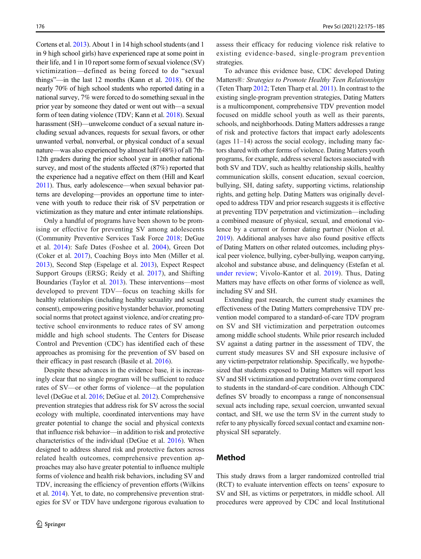Cortens et al. [2013\)](#page-10-0). About 1 in 14 high school students (and 1 in 9 high school girls) have experienced rape at some point in their life, and 1 in 10 report some form of sexual violence (SV) victimization—defined as being forced to do "sexual things"—in the last 12 months (Kann et al. [2018](#page-11-0)). Of the nearly 70% of high school students who reported dating in a national survey, 7% were forced to do something sexual in the prior year by someone they dated or went out with—a sexual form of teen dating violence (TDV; Kann et al. [2018\)](#page-11-0). Sexual harassment (SH)—unwelcome conduct of a sexual nature including sexual advances, requests for sexual favors, or other unwanted verbal, nonverbal, or physical conduct of a sexual nature—was also experienced by almost half (48%) of all 7th-12th graders during the prior school year in another national survey, and most of the students affected (87%) reported that the experience had a negative effect on them (Hill and Kearl [2011\)](#page-11-0). Thus, early adolescence—when sexual behavior patterns are developing—provides an opportune time to intervene with youth to reduce their risk of SV perpetration or victimization as they mature and enter intimate relationships.

Only a handful of programs have been shown to be promising or effective for preventing SV among adolescents (Community Preventive Services Task Force [2018;](#page-10-0) DeGue et al. [2014](#page-10-0)): Safe Dates (Foshee et al. [2004\)](#page-10-0), Green Dot (Coker et al. [2017\)](#page-10-0), Coaching Boys into Men (Miller et al. [2013\)](#page-11-0), Second Step (Espelage et al. [2013](#page-10-0)), Expect Respect Support Groups (ERSG; Reidy et al. [2017\)](#page-11-0), and Shifting Boundaries (Taylor et al. [2013](#page-11-0)). These interventions—most developed to prevent TDV—focus on teaching skills for healthy relationships (including healthy sexuality and sexual consent), empowering positive bystander behavior, promoting social norms that protect against violence, and/or creating protective school environments to reduce rates of SV among middle and high school students. The Centers for Disease Control and Prevention (CDC) has identified each of these approaches as promising for the prevention of SV based on their efficacy in past research (Basile et al. [2016\)](#page-10-0).

Despite these advances in the evidence base, it is increasingly clear that no single program will be sufficient to reduce rates of SV—or other forms of violence—at the population level (DeGue et al. [2016](#page-10-0); DeGue et al. [2012](#page-10-0)). Comprehensive prevention strategies that address risk for SV across the social ecology with multiple, coordinated interventions may have greater potential to change the social and physical contexts that influence risk behavior—in addition to risk and protective characteristics of the individual (DeGue et al. [2016\)](#page-10-0). When designed to address shared risk and protective factors across related health outcomes, comprehensive prevention approaches may also have greater potential to influence multiple forms of violence and health risk behaviors, including SV and TDV, increasing the efficiency of prevention efforts (Wilkins et al. [2014](#page-11-0)). Yet, to date, no comprehensive prevention strategies for SV or TDV have undergone rigorous evaluation to

assess their efficacy for reducing violence risk relative to existing evidence-based, single-program prevention strategies.

To advance this evidence base, CDC developed Dating Matters®: Strategies to Promote Healthy Teen Relationships (Teten Tharp [2012](#page-11-0); Teten Tharp et al. [2011](#page-11-0)). In contrast to the existing single-program prevention strategies, Dating Matters is a multicomponent, comprehensive TDV prevention model focused on middle school youth as well as their parents, schools, and neighborhoods. Dating Matters addresses a range of risk and protective factors that impact early adolescents (ages 11–14) across the social ecology, including many factors shared with other forms of violence. Dating Matters youth programs, for example, address several factors associated with both SV and TDV, such as healthy relationship skills, healthy communication skills, consent education, sexual coercion, bullying, SH, dating safety, supporting victims, relationship rights, and getting help. Dating Matters was originally developed to address TDV and prior research suggests it is effective at preventing TDV perpetration and victimization—including a combined measure of physical, sexual, and emotional violence by a current or former dating partner (Niolon et al. [2019\)](#page-11-0). Additional analyses have also found positive effects of Dating Matters on other related outcomes, including physical peer violence, bullying, cyber-bullying, weapon carrying, alcohol and substance abuse, and delinquency (Estefan et al. [under review;](#page-10-0) Vivolo-Kantor et al. [2019](#page-11-0)). Thus, Dating Matters may have effects on other forms of violence as well, including SV and SH.

Extending past research, the current study examines the effectiveness of the Dating Matters comprehensive TDV prevention model compared to a standard-of-care TDV program on SV and SH victimization and perpetration outcomes among middle school students. While prior research included SV against a dating partner in the assessment of TDV, the current study measures SV and SH exposure inclusive of any victim-perpetrator relationship. Specifically, we hypothesized that students exposed to Dating Matters will report less SV and SH victimization and perpetration over time compared to students in the standard-of-care condition. Although CDC defines SV broadly to encompass a range of nonconsensual sexual acts including rape, sexual coercion, unwanted sexual contact, and SH, we use the term SV in the current study to refer to any physically forced sexual contact and examine nonphysical SH separately.

# Method

This study draws from a larger randomized controlled trial (RCT) to evaluate intervention effects on teens' exposure to SV and SH, as victims or perpetrators, in middle school. All procedures were approved by CDC and local Institutional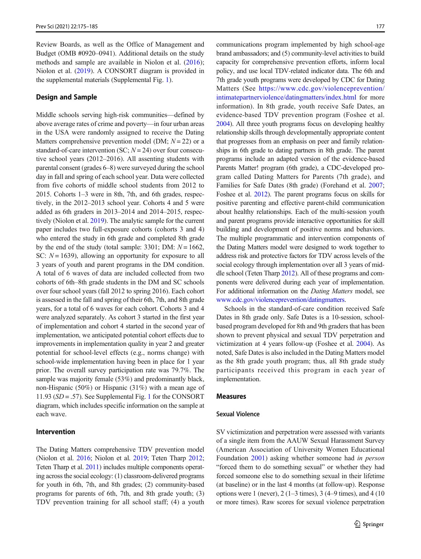Review Boards, as well as the Office of Management and Budget (OMB #0920–0941). Additional details on the study methods and sample are available in Niolon et al. [\(2016](#page-11-0)); Niolon et al. ([2019](#page-11-0)). A CONSORT diagram is provided in the supplemental materials (Supplemental Fig. 1).

#### Design and Sample

Middle schools serving high-risk communities—defined by above average rates of crime and poverty—in four urban areas in the USA were randomly assigned to receive the Dating Matters comprehensive prevention model (DM;  $N = 22$ ) or a standard-of-care intervention (SC;  $N = 24$ ) over four consecutive school years (2012–2016). All assenting students with parental consent (grades 6–8) were surveyed during the school day in fall and spring of each school year. Data were collected from five cohorts of middle school students from 2012 to 2015. Cohorts 1–3 were in 8th, 7th, and 6th grades, respectively, in the 2012–2013 school year. Cohorts 4 and 5 were added as 6th graders in 2013–2014 and 2014–2015, respectively (Niolon et al. [2019](#page-11-0)). The analytic sample for the current paper includes two full-exposure cohorts (cohorts 3 and 4) who entered the study in 6th grade and completed 8th grade by the end of the study (total sample: 3301; DM:  $N = 1662$ , SC:  $N = 1639$ ), allowing an opportunity for exposure to all 3 years of youth and parent programs in the DM condition. A total of 6 waves of data are included collected from two cohorts of 6th–8th grade students in the DM and SC schools over four school years (fall 2012 to spring 2016). Each cohort is assessed in the fall and spring of their 6th, 7th, and 8th grade years, for a total of 6 waves for each cohort. Cohorts 3 and 4 were analyzed separately. As cohort 3 started in the first year of implementation and cohort 4 started in the second year of implementation, we anticipated potential cohort effects due to improvements in implementation quality in year 2 and greater potential for school-level effects (e.g., norms change) with school-wide implementation having been in place for 1 year prior. The overall survey participation rate was 79.7%. The sample was majority female (53%) and predominantly black, non-Hispanic (50%) or Hispanic (31%) with a mean age of 11.93 ( $SD = .57$ ). See Supplemental Fig. 1 for the CONSORT diagram, which includes specific information on the sample at each wave.

# Intervention

The Dating Matters comprehensive TDV prevention model (Niolon et al. [2016;](#page-11-0) Niolon et al. [2019](#page-11-0); Teten Tharp [2012](#page-11-0); Teten Tharp et al. [2011](#page-11-0)) includes multiple components operating across the social ecology: (1) classroom-delivered programs for youth in 6th, 7th, and 8th grades; (2) community-based programs for parents of 6th, 7th, and 8th grade youth; (3) TDV prevention training for all school staff; (4) a youth communications program implemented by high school-age brand ambassadors; and (5) community-level activities to build capacity for comprehensive prevention efforts, inform local policy, and use local TDV-related indicator data. The 6th and 7th grade youth programs were developed by CDC for Dating Matters (See [https://www.cdc.gov/violenceprevention/](https://www.cdc.gov/violenceprevention/intimatepartnerviolence/datingmatters/index.html) [intimatepartnerviolence/datingmatters/index.html](https://www.cdc.gov/violenceprevention/intimatepartnerviolence/datingmatters/index.html) for more information). In 8th grade, youth receive Safe Dates, an evidence-based TDV prevention program (Foshee et al. [2004](#page-10-0)). All three youth programs focus on developing healthy relationship skills through developmentally appropriate content that progresses from an emphasis on peer and family relationships in 6th grade to dating partners in 8th grade. The parent programs include an adapted version of the evidence-based Parents Matter! program (6th grade), a CDC-developed program called Dating Matters for Parents (7th grade), and Families for Safe Dates (8th grade) (Forehand et al. [2007;](#page-10-0) Foshee et al. [2012\)](#page-10-0). The parent programs focus on skills for positive parenting and effective parent-child communication about healthy relationships. Each of the multi-session youth and parent programs provide interactive opportunities for skill building and development of positive norms and behaviors. The multiple programmatic and intervention components of the Dating Matters model were designed to work together to address risk and protective factors for TDV across levels of the social ecology through implementation over all 3 years of middle school (Teten Tharp [2012](#page-11-0)). All of these programs and components were delivered during each year of implementation. For additional information on the Dating Matters model, see [www.cdc.gov/violenceprevention/datingmatters](http://www.cdc.gov/violenceprevention/datingmatters).

Schools in the standard-of-care condition received Safe Dates in 8th grade only. Safe Dates is a 10-session, schoolbased program developed for 8th and 9th graders that has been shown to prevent physical and sexual TDV perpetration and victimization at 4 years follow-up (Foshee et al. [2004](#page-10-0)). As noted, Safe Dates is also included in the Dating Matters model as the 8th grade youth program; thus, all 8th grade study participants received this program in each year of implementation.

#### Measures

#### Sexual Violence

SV victimization and perpetration were assessed with variants of a single item from the AAUW Sexual Harassment Survey (American Association of University Women Educational Foundation [2001](#page-10-0)) asking whether someone had in person "forced them to do something sexual" or whether they had forced someone else to do something sexual in their lifetime (at baseline) or in the last 4 months (at follow-up). Response options were 1 (never),  $2(1-3 \text{ times})$ ,  $3(4-9 \text{ times})$ , and  $4(10 \text{ times})$ or more times). Raw scores for sexual violence perpetration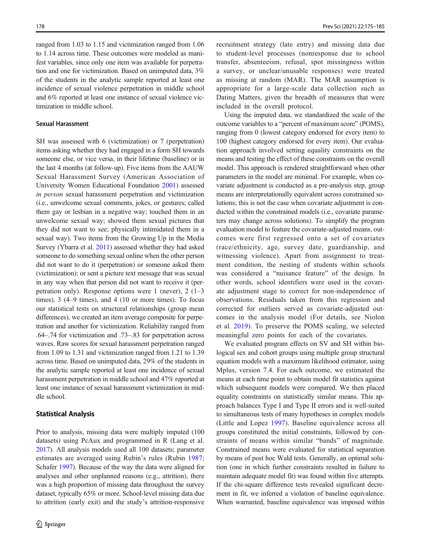ranged from 1.03 to 1.15 and victimization ranged from 1.06 to 1.14 across time. These outcomes were modeled as manifest variables, since only one item was available for perpetration and one for victimization. Based on unimputed data, 3% of the students in the analytic sample reported at least one incidence of sexual violence perpetration in middle school and 6% reported at least one instance of sexual violence victimization in middle school.

# Sexual Harassment

SH was assessed with 6 (victimization) or 7 (perpetration) items asking whether they had engaged in a form SH towards someone else, or vice versa, in their lifetime (baseline) or in the last 4 months (at follow-up). Five items from the AAUW Sexual Harassment Survey (American Association of University Women Educational Foundation [2001](#page-10-0)) assessed in person sexual harassment perpetration and victimization (i.e., unwelcome sexual comments, jokes, or gestures; called them gay or lesbian in a negative way; touched them in an unwelcome sexual way; showed them sexual pictures that they did not want to see; physically intimidated them in a sexual way). Two items from the Growing Up in the Media Survey (Ybarra et al. [2011](#page-11-0)) assessed whether they had asked someone to do something sexual online when the other person did not want to do it (perpetration) or someone asked them (victimization); or sent a picture text message that was sexual in any way when that person did not want to receive it (perpetration only). Response options were 1 (never), 2 (1–3 times), 3 (4–9 times), and 4 (10 or more times). To focus our statistical tests on structural relationships (group mean differences), we created an item average composite for perpetration and another for victimization. Reliability ranged from .64–.74 for victimization and .73–.83 for perpetration across waves. Raw scores for sexual harassment perpetration ranged from 1.09 to 1.31 and victimization ranged from 1.21 to 1.39 across time. Based on unimputed data, 29% of the students in the analytic sample reported at least one incidence of sexual harassment perpetration in middle school and 47% reported at least one instance of sexual harassment victimization in middle school.

#### Statistical Analysis

Prior to analysis, missing data were multiply imputed (100 datasets) using PcAux and programmed in R (Lang et al. [2017\)](#page-11-0). All analysis models used all 100 datasets; parameter estimates are averaged using Rubin's rules (Rubin [1987](#page-11-0); Schafer [1997\)](#page-11-0). Because of the way the data were aligned for analyses and other unplanned reasons (e.g., attrition), there was a high proportion of missing data throughout the survey dataset, typically 65% or more. School-level missing data due to attrition (early exit) and the study's attrition-responsive recruitment strategy (late entry) and missing data due to student-level processes (nonresponse due to school transfer, absenteeism, refusal, spot missingness within a survey, or unclear/unusable responses) were treated as missing at random (MAR). The MAR assumption is appropriate for a large-scale data collection such as Dating Matters, given the breadth of measures that were included in the overall protocol.

Using the imputed data, we standardized the scale of the outcome variables to a "percent of maximum score" (POMS), ranging from 0 (lowest category endorsed for every item) to 100 (highest category endorsed for every item). Our evaluation approach involved setting equality constraints on the means and testing the effect of these constraints on the overall model. This approach is rendered straightforward when other parameters in the model are minimal. For example, when covariate adjustment is conducted as a pre-analysis step, group means are interpretationally equivalent across constrained solutions; this is not the case when covariate adjustment is conducted within the constrained models (i.e., covariate parameters may change across solutions). To simplify the program evaluation model to feature the covariate-adjusted means, outcomes were first regressed onto a set of covariates (race/ethnicity, age, survey date, guardianship, and witnessing violence). Apart from assignment to treatment condition, the nesting of students within schools was considered a "nuisance feature" of the design. In other words, school identifiers were used in the covariate adjustment stage to correct for non-independence of observations. Residuals taken from this regression and corrected for outliers served as covariate-adjusted outcomes in the analysis model (For details, see Niolon et al. [2019](#page-11-0)). To preserve the POMS scaling, we selected meaningful zero points for each of the covariates.

We evaluated program effects on SV and SH within biological sex and cohort groups using multiple group structural equation models with a maximum likelihood estimator, using Mplus, version 7.4. For each outcome, we estimated the means at each time point to obtain model fit statistics against which subsequent models were compared. We then placed equality constraints on statistically similar means. This approach balances Type I and Type II errors and is well-suited to simultaneous tests of many hypotheses in complex models (Little and Lopez [1997\)](#page-11-0). Baseline equivalence across all groups constituted the initial constraints, followed by constraints of means within similar "bands" of magnitude. Constrained means were evaluated for statistical separation by means of post hoc Wald tests. Generally, an optimal solution (one in which further constraints resulted in failure to maintain adequate model fit) was found within five attempts. If the chi-square difference tests revealed significant decrement in fit, we inferred a violation of baseline equivalence. When warranted, baseline equivalence was imposed within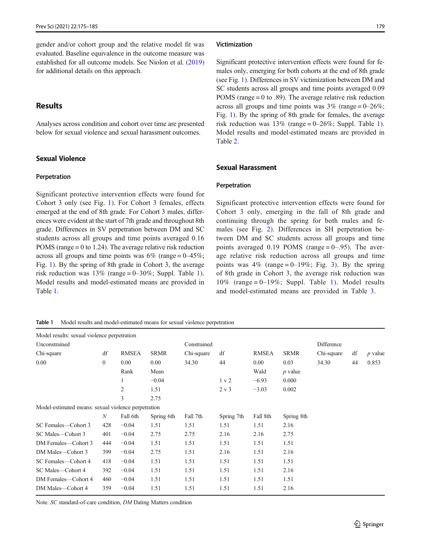gender and/or cohort group and the relative model fit was evaluated. Baseline equivalence in the outcome measure was established for all outcome models. See Niolon et al. [\(2019\)](#page-11-0) for additional details on this approach.

# Results

Analyses across condition and cohort over time are presented below for sexual violence and sexual harassment outcomes.

# Sexual Violence

#### Perpetration

Significant protective intervention effects were found for Cohort 3 only (see Fig. [1\)](#page-6-0). For Cohort 3 females, effects emerged at the end of 8th grade. For Cohort 3 males, differences were evident at the start of 7th grade and throughout 8th grade. Differences in SV perpetration between DM and SC students across all groups and time points averaged 0.16 POMS (range = 0 to 1.24). The average relative risk reduction across all groups and time points was  $6\%$  (range =  $0-45\%$ ; Fig. [1](#page-6-0)). By the spring of 8th grade in Cohort 3, the average risk reduction was  $13\%$  (range = 0–30%; Suppl. Table 1). Model results and model-estimated means are provided in Table 1.

#### Victimization

Significant protective intervention effects were found for females only, emerging for both cohorts at the end of 8th grade (see Fig. [1](#page-6-0)). Differences in SV victimization between DM and SC students across all groups and time points averaged 0.09 POMS (range  $= 0$  to .89). The average relative risk reduction across all groups and time points was  $3\%$  (range = 0–26%; Fig. [1\)](#page-6-0). By the spring of 8th grade for females, the average risk reduction was  $13\%$  (range = 0–26%; Suppl. Table 1). Model results and model-estimated means are provided in Table [2.](#page-6-0)

#### Sexual Harassment

#### Perpetration

Significant protective intervention effects were found for Cohort 3 only, emerging in the fall of 8th grade and continuing through the spring for both males and females (see Fig. [2\)](#page-7-0). Differences in SH perpetration between DM and SC students across all groups and time points averaged  $0.19$  POMS (range = 0–.95). The average relative risk reduction across all groups and time points was  $4\%$  (range = 0–19%; Fig. [3\)](#page-8-0). By the spring of 8th grade in Cohort 3, the average risk reduction was 10% (range  $= 0-19\%$ ; Suppl. Table 1). Model results and model-estimated means are provided in Table [3](#page-7-0).

Table 1 Model results and model-estimated means for sexual violence perpetration

| Model results: sexual violence perpetration         |                |                |             |            |            |              |             |            |    |           |
|-----------------------------------------------------|----------------|----------------|-------------|------------|------------|--------------|-------------|------------|----|-----------|
| Unconstrained                                       |                |                | Constrained |            |            |              | Difference  |            |    |           |
| Chi-square                                          | df             | <b>RMSEA</b>   | <b>SRMR</b> | Chi-square | df         | <b>RMSEA</b> | <b>SRMR</b> | Chi-square | df | $p$ value |
| 0.00                                                | $\mathbf{0}$   | 0.00           | 0.00        | 34.30      | 44         | 0.00         | 0.03        | 34.30      | 44 | 0.853     |
|                                                     |                | Rank           | Mean        |            |            | Wald         | $p$ value   |            |    |           |
|                                                     |                | 1              | $-0.04$     |            | 1 v 2      | $-6.93$      | 0.000       |            |    |           |
|                                                     |                | $\overline{2}$ | 1.51        |            | 2 v 3      | $-3.03$      | 0.002       |            |    |           |
|                                                     |                | 3              | 2.75        |            |            |              |             |            |    |           |
| Model-estimated means: sexual violence perpetration |                |                |             |            |            |              |             |            |    |           |
|                                                     | $\overline{N}$ | Fall 6th       | Spring 6th  | Fall 7th   | Spring 7th | Fall 8th     | Spring 8th  |            |    |           |
| SC Females—Cohort 3                                 | 428            | $-0.04$        | 1.51        | 1.51       | 1.51       | 1.51         | 2.16        |            |    |           |
| SC Males-Cohort 3                                   | 401            | $-0.04$        | 2.75        | 2.75       | 2.16       | 2.16         | 2.75        |            |    |           |
| DM Females—Cohort 3                                 | 444            | $-0.04$        | 1.51        | 1.51       | 1.51       | 1.51         | 1.51        |            |    |           |
| DM Males-Cohort 3                                   | 399            | $-0.04$        | 2.75        | 1.51       | 2.16       | 1.51         | 2.16        |            |    |           |
| SC Females—Cohort 4                                 | 418            | $-0.04$        | 1.51        | 1.51       | 1.51       | 1.51         | 1.51        |            |    |           |
| SC Males-Cohort 4                                   | 392            | $-0.04$        | 1.51        | 1.51       | 1.51       | 1.51         | 2.16        |            |    |           |
| DM Females-Cohort 4                                 | 460            | $-0.04$        | 1.51        | 1.51       | 1.51       | 1.51         | 1.51        |            |    |           |
| DM Males-Cohort 4                                   | 359            | $-0.04$        | 1.51        | 1.51       | 1.51       | 1.51         | 2.16        |            |    |           |

Note. SC standard-of-care condition, DM Dating Matters condition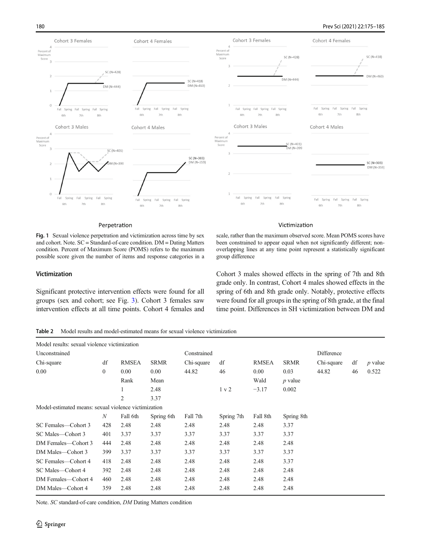# <span id="page-6-0"></span>180 Prev Sci (2021) 22:175–185



#### Perpetration

Fig. 1 Sexual violence perpetration and victimization across time by sex and cohort. Note. SC = Standard-of-care condition. DM = Dating Matters condition. Percent of Maximum Score (POMS) refers to the maximum possible score given the number of items and response categories in a

#### Victimization

Significant protective intervention effects were found for all groups (sex and cohort; see Fig. [3\)](#page-8-0). Cohort 3 females saw intervention effects at all time points. Cohort 4 females and scale, rather than the maximum observed score. Mean POMS scores have been constrained to appear equal when not significantly different; nonoverlapping lines at any time point represent a statistically significant group difference

Victimization

Cohort 3 males showed effects in the spring of 7th and 8th grade only. In contrast, Cohort 4 males showed effects in the spring of 6th and 8th grade only. Notably, protective effects were found for all groups in the spring of 8th grade, at the final time point. Differences in SH victimization between DM and

Table 2 Model results and model-estimated means for sexual violence victimization

| Model results: sexual violence victimization         |                  |                |             |             |            |              |             |            |            |                |  |
|------------------------------------------------------|------------------|----------------|-------------|-------------|------------|--------------|-------------|------------|------------|----------------|--|
| Unconstrained                                        |                  |                |             | Constrained |            |              |             |            | Difference |                |  |
| Chi-square                                           | df               | <b>RMSEA</b>   | <b>SRMR</b> | Chi-square  | df         | <b>RMSEA</b> | <b>SRMR</b> | Chi-square | df         | <i>p</i> value |  |
| 0.00                                                 | $\mathbf{0}$     | 0.00           | 0.00        | 44.82       | 46         | 0.00         | 0.03        | 44.82      | 46         | 0.522          |  |
|                                                      |                  | Rank           | Mean        |             |            | Wald         | $p$ value   |            |            |                |  |
|                                                      |                  | 1              | 2.48        |             | 1 v 2      | $-3.17$      | 0.002       |            |            |                |  |
|                                                      |                  | $\overline{2}$ | 3.37        |             |            |              |             |            |            |                |  |
| Model-estimated means: sexual violence victimization |                  |                |             |             |            |              |             |            |            |                |  |
|                                                      | $\boldsymbol{N}$ | Fall 6th       | Spring 6th  | Fall 7th    | Spring 7th | Fall 8th     | Spring 8th  |            |            |                |  |
| SC Females—Cohort 3                                  | 428              | 2.48           | 2.48        | 2.48        | 2.48       | 2.48         | 3.37        |            |            |                |  |
| SC Males—Cohort 3                                    | 401              | 3.37           | 3.37        | 3.37        | 3.37       | 3.37         | 3.37        |            |            |                |  |
| DM Females—Cohort 3                                  | 444              | 2.48           | 2.48        | 2.48        | 2.48       | 2.48         | 2.48        |            |            |                |  |
| DM Males—Cohort 3                                    | 399              | 3.37           | 3.37        | 3.37        | 3.37       | 3.37         | 3.37        |            |            |                |  |
| SC Females—Cohort 4                                  | 418              | 2.48           | 2.48        | 2.48        | 2.48       | 2.48         | 3.37        |            |            |                |  |
| SC Males-Cohort 4                                    | 392              | 2.48           | 2.48        | 2.48        | 2.48       | 2.48         | 2.48        |            |            |                |  |
| DM Females—Cohort 4                                  | 460              | 2.48           | 2.48        | 2.48        | 2.48       | 2.48         | 2.48        |            |            |                |  |
| DM Males-Cohort 4                                    | 359              | 2.48           | 2.48        | 2.48        | 2.48       | 2.48         | 2.48        |            |            |                |  |

Note. SC standard-of-care condition, DM Dating Matters condition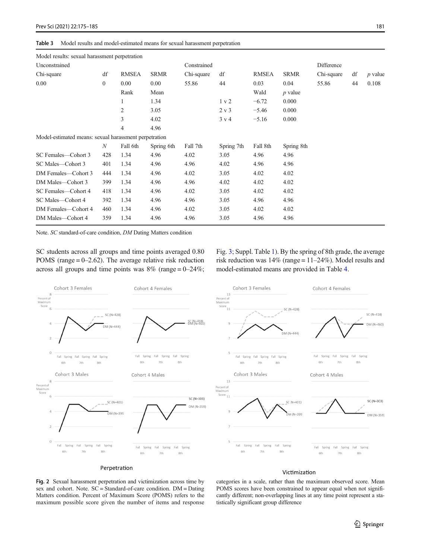<span id="page-7-0"></span>

| Model results: sexual harassment perpetration         |                  |                |             |            |                  |          |             |            |    |           |
|-------------------------------------------------------|------------------|----------------|-------------|------------|------------------|----------|-------------|------------|----|-----------|
| Unconstrained                                         |                  |                | Constrained |            |                  |          | Difference  |            |    |           |
| Chi-square                                            | df               | <b>RMSEA</b>   | <b>SRMR</b> | Chi-square | df               | RMSEA    | <b>SRMR</b> | Chi-square | df | $p$ value |
| 0.00                                                  | $\mathbf{0}$     | 0.00           | 0.00        | 55.86      | 44               | 0.03     | 0.04        | 55.86      | 44 | 0.108     |
|                                                       |                  | Rank           | Mean        |            |                  | Wald     | $p$ value   |            |    |           |
|                                                       |                  | $\mathbf{1}$   | 1.34        |            | 1 v 2            | $-6.72$  | 0.000       |            |    |           |
|                                                       |                  | $\overline{2}$ | 3.05        |            | 2 v 3            | $-5.46$  | 0.000       |            |    |           |
|                                                       |                  | 3              | 4.02        |            | $3 \text{ v } 4$ | $-5.16$  | 0.000       |            |    |           |
|                                                       |                  | $\overline{4}$ | 4.96        |            |                  |          |             |            |    |           |
| Model-estimated means: sexual harassment perpetration |                  |                |             |            |                  |          |             |            |    |           |
|                                                       | $\boldsymbol{N}$ | Fall 6th       | Spring 6th  | Fall 7th   | Spring 7th       | Fall 8th | Spring 8th  |            |    |           |
| SC Females-Cohort 3                                   | 428              | 1.34           | 4.96        | 4.02       | 3.05             | 4.96     | 4.96        |            |    |           |
| SC Males—Cohort 3                                     | 401              | 1.34           | 4.96        | 4.96       | 4.02             | 4.96     | 4.96        |            |    |           |
| DM Females-Cohort 3                                   | 444              | 1.34           | 4.96        | 4.02       | 3.05             | 4.02     | 4.02        |            |    |           |
| DM Males-Cohort 3                                     | 399              | 1.34           | 4.96        | 4.96       | 4.02             | 4.02     | 4.02        |            |    |           |
| SC Females-Cohort 4                                   | 418              | 1.34           | 4.96        | 4.02       | 3.05             | 4.02     | 4.02        |            |    |           |
| SC Males-Cohort 4                                     | 392              | 1.34           | 4.96        | 4.96       | 3.05             | 4.96     | 4.96        |            |    |           |
| DM Females-Cohort 4                                   | 460              | 1.34           | 4.96        | 4.02       | 3.05             | 4.02     | 4.02        |            |    |           |
| DM Males-Cohort 4                                     | 359              | 1.34           | 4.96        | 4.96       | 3.05             | 4.96     | 4.96        |            |    |           |

Note. SC standard-of-care condition, DM Dating Matters condition

SC students across all groups and time points averaged 0.80 POMS (range  $= 0-2.62$ ). The average relative risk reduction across all groups and time points was  $8\%$  (range = 0–24%; Fig. [3](#page-8-0); Suppl. Table 1). By the spring of 8th grade, the average risk reduction was 14% (range = 11–24%). Model results and model-estimated means are provided in Table [4.](#page-8-0)



# Victimization

Fig. 2 Sexual harassment perpetration and victimization across time by sex and cohort. Note. SC = Standard-of-care condition. DM = Dating Matters condition. Percent of Maximum Score (POMS) refers to the maximum possible score given the number of items and response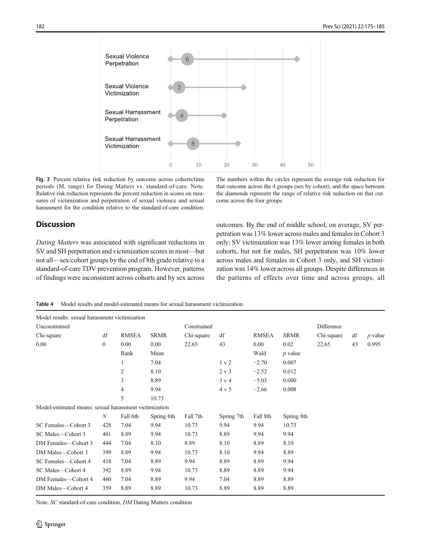<span id="page-8-0"></span>

Fig. 3 Percent relative risk reduction by outcome across cohorts/time periods (M, range) for Dating Matters vs. standard-of-care. Note. Relative risk reduction represents the percent reduction in scores on measures of victimization and perpetration of sexual violence and sexual harassment for the condition relative to the standard-of-care condition.

The numbers within the circles represent the average risk reduction for that outcome across the 4 groups (sex by cohort), and the space between the diamonds represent the range of relative risk reduction on that outcome across the four groups

# **Discussion**

Dating Matters was associated with significant reductions in SV and SH perpetration and victimization scores in most—but not all—sex/cohort groups by the end of 8th grade relative to a standard-of-care TDV prevention program. However, patterns of findings were inconsistent across cohorts and by sex across outcomes. By the end of middle school, on average, SV perpetration was 13% lower across males and females in Cohort 3 only; SV victimization was 13% lower among females in both cohorts, but not for males, SH perpetration was 10% lower across males and females in Cohort 3 only, and SH victimization was 14% lower across all groups. Despite differences in the patterns of effects over time and across groups, all

Table 4 Model results and model-estimated means for sexual harassment victimization

| Model results: sexual harassment victimization         |                  |                |             |            |                  |          |             |            |    |                |
|--------------------------------------------------------|------------------|----------------|-------------|------------|------------------|----------|-------------|------------|----|----------------|
| Unconstrained                                          |                  |                | Constrained |            |                  |          | Difference  |            |    |                |
| Chi-square                                             | df               | <b>RMSEA</b>   | <b>SRMR</b> | Chi-square | df               | RMSEA    | <b>SRMR</b> | Chi-square | df | <i>p</i> value |
| 0.00                                                   | $\boldsymbol{0}$ | 0.00           | 0.00        | 22.65      | 43               | 0.00     | 0.02        | 22.65      | 43 | 0.995          |
|                                                        |                  | Rank           | Mean        |            |                  | Wald     | $p$ value   |            |    |                |
|                                                        |                  | 1              | 7.04        |            | 1 v 2            | $-2.70$  | 0.007       |            |    |                |
|                                                        |                  | 2              | 8.10        |            | 2 v 3            | $-2.52$  | 0.012       |            |    |                |
|                                                        |                  | 3              | 8.89        |            | 3 v 4            | $-5.03$  | 0.000       |            |    |                |
|                                                        |                  | $\overline{4}$ | 9.94        |            | $4 \mathrm{v} 5$ | $-2.66$  | 0.008       |            |    |                |
|                                                        |                  | 5              | 10.73       |            |                  |          |             |            |    |                |
| Model-estimated means: sexual harassment victimization |                  |                |             |            |                  |          |             |            |    |                |
|                                                        | $\boldsymbol{N}$ | Fall 6th       | Spring 6th  | Fall 7th   | Spring 7th       | Fall 8th | Spring 8th  |            |    |                |
| SC Females-Cohort 3                                    | 428              | 7.04           | 9.94        | 10.73      | 9.94             | 9.94     | 10.73       |            |    |                |
| SC Males-Cohort 3                                      | 401              | 8.89           | 9.94        | 10.73      | 8.89             | 9.94     | 9.94        |            |    |                |
| DM Females-Cohort 3                                    | 444              | 7.04           | 8.10        | 8.89       | 8.10             | 8.89     | 8.10        |            |    |                |
| DM Males-Cohort 3                                      | 399              | 8.89           | 9.94        | 10.73      | 8.10             | 9.94     | 8.89        |            |    |                |
| SC Females-Cohort 4                                    | 418              | 7.04           | 8.89        | 9.94       | 8.89             | 8.89     | 9.94        |            |    |                |
| SC Males-Cohort 4                                      | 392              | 8.89           | 9.94        | 10.73      | 8.89             | 8.89     | 9.94        |            |    |                |
| DM Females-Cohort 4                                    | 460              | 7.04           | 8.89        | 9.94       | 7.04             | 8.89     | 8.89        |            |    |                |
| DM Males-Cohort 4                                      | 359              | 8.89           | 8.89        | 10.73      | 8.89             | 8.89     | 8.89        |            |    |                |

Note. SC standard-of-care condition, DM Dating Matters condition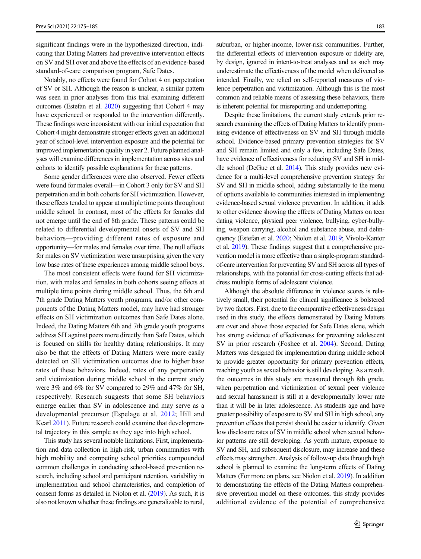significant findings were in the hypothesized direction, indicating that Dating Matters had preventive intervention effects on SV and SH over and above the effects of an evidence-based standard-of-care comparison program, Safe Dates.

Notably, no effects were found for Cohort 4 on perpetration of SV or SH. Although the reason is unclear, a similar pattern was seen in prior analyses from this trial examining different outcomes (Estefan et al. [2020\)](#page-10-0) suggesting that Cohort 4 may have experienced or responded to the intervention differently. These findings were inconsistent with our initial expectation that Cohort 4 might demonstrate stronger effects given an additional year of school-level intervention exposure and the potential for improved implementation quality in year 2. Future planned analyses will examine differences in implementation across sites and cohorts to identify possible explanations for these patterns.

Some gender differences were also observed. Fewer effects were found for males overall—in Cohort 3 only for SV and SH perpetration and in both cohorts for SH victimization. However, these effects tended to appear at multiple time points throughout middle school. In contrast, most of the effects for females did not emerge until the end of 8th grade. These patterns could be related to differential developmental onsets of SV and SH behaviors—providing different rates of exposure and opportunity—for males and females over time. The null effects for males on SV victimization were unsurprising given the very low base rates of these experiences among middle school boys.

The most consistent effects were found for SH victimization, with males and females in both cohorts seeing effects at multiple time points during middle school. Thus, the 6th and 7th grade Dating Matters youth programs, and/or other components of the Dating Matters model, may have had stronger effects on SH victimization outcomes than Safe Dates alone. Indeed, the Dating Matters 6th and 7th grade youth programs address SH against peers more directly than Safe Dates, which is focused on skills for healthy dating relationships. It may also be that the effects of Dating Matters were more easily detected on SH victimization outcomes due to higher base rates of these behaviors. Indeed, rates of any perpetration and victimization during middle school in the current study were 3% and 6% for SV compared to 29% and 47% for SH, respectively. Research suggests that some SH behaviors emerge earlier than SV in adolescence and may serve as a developmental precursor (Espelage et al. [2012;](#page-10-0) Hill and Kearl [2011](#page-11-0)). Future research could examine that developmental trajectory in this sample as they age into high school.

This study has several notable limitations. First, implementation and data collection in high-risk, urban communities with high mobility and competing school priorities compounded common challenges in conducting school-based prevention research, including school and participant retention, variability in implementation and school characteristics, and completion of consent forms as detailed in Niolon et al. [\(2019](#page-11-0)). As such, it is also not known whether these findings are generalizable to rural,

suburban, or higher-income, lower-risk communities. Further, the differential effects of intervention exposure or fidelity are, by design, ignored in intent-to-treat analyses and as such may underestimate the effectiveness of the model when delivered as intended. Finally, we relied on self-reported measures of violence perpetration and victimization. Although this is the most common and reliable means of assessing these behaviors, there is inherent potential for misreporting and underreporting.

Despite these limitations, the current study extends prior research examining the effects of Dating Matters to identify promising evidence of effectiveness on SV and SH through middle school. Evidence-based primary prevention strategies for SV and SH remain limited and only a few, including Safe Dates, have evidence of effectiveness for reducing SV and SH in middle school (DeGue et al. [2014\)](#page-10-0). This study provides new evidence for a multi-level comprehensive prevention strategy for SV and SH in middle school, adding substantially to the menu of options available to communities interested in implementing evidence-based sexual violence prevention. In addition, it adds to other evidence showing the effects of Dating Matters on teen dating violence, physical peer violence, bullying, cyber-bullying, weapon carrying, alcohol and substance abuse, and delinquency (Estefan et al. [2020;](#page-10-0) Niolon et al. [2019;](#page-11-0) Vivolo-Kantor et al. [2019\)](#page-11-0). These findings suggest that a comprehensive prevention model is more effective than a single-program standardof-care intervention for preventing SV and SH across all types of relationships, with the potential for cross-cutting effects that address multiple forms of adolescent violence.

Although the absolute difference in violence scores is relatively small, their potential for clinical significance is bolstered by two factors. First, due to the comparative effectiveness design used in this study, the effects demonstrated by Dating Matters are over and above those expected for Safe Dates alone, which has strong evidence of effectiveness for preventing adolescent SV in prior research (Foshee et al. [2004\)](#page-10-0). Second, Dating Matters was designed for implementation during middle school to provide greater opportunity for primary prevention effects, reaching youth as sexual behavior is still developing. As a result, the outcomes in this study are measured through 8th grade, when perpetration and victimization of sexual peer violence and sexual harassment is still at a developmentally lower rate than it will be in later adolescence. As students age and have greater possibility of exposure to SV and SH in high school, any prevention effects that persist should be easier to identify. Given low disclosure rates of SV in middle school when sexual behavior patterns are still developing. As youth mature, exposure to SV and SH, and subsequent disclosure, may increase and these effects may strengthen. Analysis of follow-up data through high school is planned to examine the long-term effects of Dating Matters (For more on plans, see Niolon et al. [2019\)](#page-11-0). In addition to demonstrating the effects of the Dating Matters comprehensive prevention model on these outcomes, this study provides additional evidence of the potential of comprehensive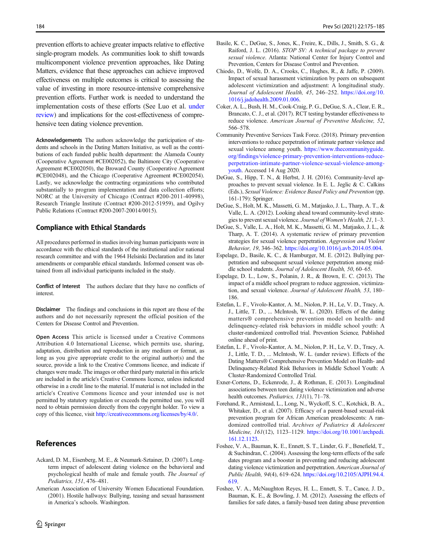<span id="page-10-0"></span>prevention efforts to achieve greater impacts relative to effective single-program models. As communities look to shift towards multicomponent violence prevention approaches, like Dating Matters, evidence that these approaches can achieve improved effectiveness on multiple outcomes is critical to assessing the value of investing in more resource-intensive comprehensive prevention efforts. Further work is needed to understand the implementation costs of these efforts (See Luo et al. [under](#page-11-0) [review](#page-11-0)) and implications for the cost-effectiveness of comprehensive teen dating violence prevention.

Acknowledgements The authors acknowledge the participation of students and schools in the Dating Matters Initiative, as well as the contributions of each funded public health department: the Alameda County (Cooperative Agreement #CE002052), the Baltimore City (Cooperative Agreement #CE002050), the Broward County (Cooperative Agreement #CE002048), and the Chicago (Cooperative Agreement #CE002054). Lastly, we acknowledge the contracting organizations who contributed substantially to program implementation and data collection efforts; NORC at the University of Chicago (Contract #200-2011-40998), Research Triangle Institute (Contract #200-2012-51959), and Ogilvy Public Relations (Contract #200-2007-20014/0015).

# Compliance with Ethical Standards

All procedures performed in studies involving human participants were in accordance with the ethical standards of the institutional and/or national research committee and with the 1964 Helsinki Declaration and its later amendments or comparable ethical standards. Informed consent was obtained from all individual participants included in the study.

Conflict of Interest The authors declare that they have no conflicts of interest.

Disclaimer The findings and conclusions in this report are those of the authors and do not necessarily represent the official position of the Centers for Disease Control and Prevention.

Open Access This article is licensed under a Creative Commons Attribution 4.0 International License, which permits use, sharing, adaptation, distribution and reproduction in any medium or format, as long as you give appropriate credit to the original author(s) and the source, provide a link to the Creative Commons licence, and indicate if changes were made. The images or other third party material in this article are included in the article's Creative Commons licence, unless indicated otherwise in a credit line to the material. If material is not included in the article's Creative Commons licence and your intended use is not permitted by statutory regulation or exceeds the permitted use, you will need to obtain permission directly from the copyright holder. To view a copy of this licence, visit [http://creativecommons.org/licenses/by/4.0/.](https://doi.org/)

# References

- Ackard, D. M., Eisenberg, M. E., & Neumark-Sztainer, D. (2007). Longterm impact of adolescent dating violence on the behavioral and psychological health of male and female youth. The Journal of Pediatrics, 151, 476–481.
- American Association of University Women Educational Foundation. (2001). Hostile hallways: Bullying, teasing and sexual harassment in America's schools. Washington.
- Basile, K. C., DeGue, S., Jones, K., Freire, K., Dills, J., Smith, S. G., & Raiford, J. L. (2016). STOP SV: A technical package to prevent sexual violence. Atlanta: National Center for Injury Control and Prevention, Centers for Disease Control and Prevention.
- Chiodo, D., Wolfe, D. A., Crooks, C., Hughes, R., & Jaffe, P. (2009). Impact of sexual harassment victimization by peers on subsequent adolescent victimization and adjustment: A longitudinal study. Journal of Adolescent Health, 45, 246–252. [https://doi.org/10.](https://doi.org/10.1016/j.jadohealth.2009.01.006) [1016/j.jadohealth.2009.01.006](https://doi.org/10.1016/j.jadohealth.2009.01.006).
- Coker, A. L., Bush, H. M., Cook-Craig, P. G., DeGue, S. A., Clear, E. R., Brancato, C. J., et al. (2017). RCT testing bystander effectiveness to reduce violence. American Journal of Preventive Medicine, 52, 566–578.
- Community Preventive Services Task Force. (2018). Primary prevention interventions to reduce perpetration of intimate partner violence and sexual violence among youth. [https://www.thecommunityguide.](https://www.thecommunityguide.org/findings/violence-rimary-reventionnterventions-educe-rpetrationntimate-rtnerlence-exuallencemong-outh) [org/findings/violence-primary-prevention-interventions-reduce](https://www.thecommunityguide.org/findings/violence-rimary-reventionnterventions-educe-rpetrationntimate-rtnerlence-exuallencemong-outh)[perpetration-intimate-partner-violence-sexual-violence-among](https://www.thecommunityguide.org/findings/violence-rimary-reventionnterventions-educe-rpetrationntimate-rtnerlence-exuallencemong-outh)[youth.](https://www.thecommunityguide.org/findings/violence-rimary-reventionnterventions-educe-rpetrationntimate-rtnerlence-exuallencemong-outh) Accessed 14 Aug 2020.
- DeGue, S., Hipp, T. N., & Herbst, J. H. (2016). Community-level approaches to prevent sexual violence. In E. L. Jeglic & C. Calkins (Eds.), Sexual Violence: Evidence Based Policy and Prevention (pp. 161-179): Springer.
- DeGue, S., Holt, M. K., Massetti, G. M., Matjasko, J. L., Tharp, A. T., & Valle, L. A. (2012). Looking ahead toward community-level strategies to prevent sexual violence. Journal of Women's Health, 21, 1–3.
- DeGue, S., Valle, L. A., Holt, M. K., Massetti, G. M., Matjasko, J. L., & Tharp, A. T. (2014). A systematic review of primary prevention strategies for sexual violence perpetration. Aggression and Violent Behavior, 19, 346–362. [https://doi.org/10.1016/j.avb.2014.05.004.](https://doi.org/10.1016/j.avb.2014.05.004)
- Espelage, D., Basile, K. C., & Hamburger, M. E. (2012). Bullying perpetration and subsequent sexual violence perpetration among middle school students. Journal of Adolescent Health, 50, 60–65.
- Espelage, D. L., Low, S., Polanin, J. R., & Brown, E. C. (2013). The impact of a middle school program to reduce aggression, victimization, and sexual violence. Journal of Adolescent Health, 53, 180– 186.
- Estefan, L. F., Vivolo-Kantor, A. M., Niolon, P. H., Le, V. D., Tracy, A. J., Little, T. D., ... McIntosh, W. L. (2020). Effects of the dating matters® comprehensive prevention model on health- and delinquency-related risk behaviors in middle school youth: A cluster-randomized controlled trial. Prevention Science, Published online ahead of print.
- Estefan, L. F., Vivolo-Kantor, A. M., Niolon, P. H., Le, V. D., Tracy, A. J., Little, T. D., ... McIntosh, W. L. (under review). Effects of the Dating Matters® Comprehensive Prevention Model on Health- and Delinquency-Related Risk Behaviors in Middle School Youth: A Cluster-Randomized Controlled Trial.
- Exner-Cortens, D., Eckenrode, J., & Rothman, E. (2013). Longitudinal associations between teen dating violence victimization and adverse health outcomes. Pediatrics, 131(1), 71-78.
- Forehand, R., Armistead, L., Long, N., Wyckoff, S. C., Kotchick, B. A., Whitaker, D., et al. (2007). Efficacy of a parent-based sexual-risk prevention program for African American preadolescents: A randomized controlled trial. Archives of Pediatrics & Adolescent Medicine, 161(12), 1123–1129. [https://doi.org/10.1001/archpedi.](https://doi.org/10.1001/archpedi.161.12.1123) [161.12.1123](https://doi.org/10.1001/archpedi.161.12.1123).
- Foshee, V. A., Bauman, K. E., Ennett, S. T., Linder, G. F., Benefield, T., & Suchindran, C. (2004). Assessing the long-term effects of the safe dates program and a booster in preventing and reducing adolescent dating violence victimization and perpetration. American Journal of Public Health, 94(4), 619–624. [https://doi.org/10.2105/AJPH.94.4.](https://doi.org/10.2105/AJPH.94.4.619) [619.](https://doi.org/10.2105/AJPH.94.4.619)
- Foshee, V. A., McNaughton Reyes, H. L., Ennett, S. T., Cance, J. D., Bauman, K. E., & Bowling, J. M. (2012). Assessing the effects of families for safe dates, a family-based teen dating abuse prevention